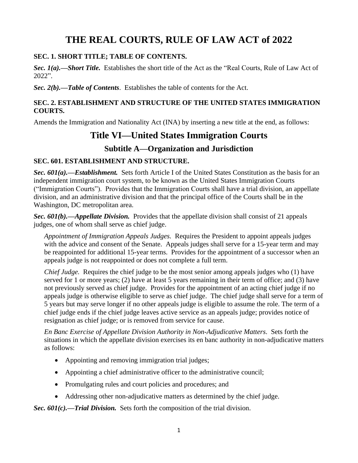# **THE REAL COURTS, RULE OF LAW ACT of 2022**

#### **SEC. 1. SHORT TITLE; TABLE OF CONTENTS.**

*Sec. 1(a).—Short Title.* Establishes the short title of the Act as the "Real Courts, Rule of Law Act of 2022".

*Sec. 2(b).—Table of Contents*. Establishes the table of contents for the Act.

#### **SEC. 2. ESTABLISHMENT AND STRUCTURE OF THE UNITED STATES IMMIGRATION COURTS.**

Amends the Immigration and Nationality Act (INA) by inserting a new title at the end, as follows:

# **Title VI—United States Immigration Courts**

## **Subtitle A—Organization and Jurisdiction**

### **SEC. 601. ESTABLISHMENT AND STRUCTURE.**

*Sec. 601(a).—Establishment.* Sets forth Article I of the United States Constitution as the basis for an independent immigration court system, to be known as the United States Immigration Courts ("Immigration Courts"). Provides that the Immigration Courts shall have a trial division, an appellate division, and an administrative division and that the principal office of the Courts shall be in the Washington, DC metropolitan area.

*Sec. 601(b).—Appellate Division.* Provides that the appellate division shall consist of 21 appeals judges, one of whom shall serve as chief judge.

*Appointment of Immigration Appeals Judges.* Requires the President to appoint appeals judges with the advice and consent of the Senate. Appeals judges shall serve for a 15-year term and may be reappointed for additional 15-year terms. Provides for the appointment of a successor when an appeals judge is not reappointed or does not complete a full term.

*Chief Judge.* Requires the chief judge to be the most senior among appeals judges who (1) have served for 1 or more years; (2) have at least 5 years remaining in their term of office; and (3) have not previously served as chief judge. Provides for the appointment of an acting chief judge if no appeals judge is otherwise eligible to serve as chief judge. The chief judge shall serve for a term of 5 years but may serve longer if no other appeals judge is eligible to assume the role. The term of a chief judge ends if the chief judge leaves active service as an appeals judge; provides notice of resignation as chief judge; or is removed from service for cause.

*En Banc Exercise of Appellate Division Authority in Non-Adjudicative Matters*. Sets forth the situations in which the appellate division exercises its en banc authority in non-adjudicative matters as follows:

- Appointing and removing immigration trial judges;
- Appointing a chief administrative officer to the administrative council;
- Promulgating rules and court policies and procedures; and
- Addressing other non-adjudicative matters as determined by the chief judge.

*Sec. 601(c).—Trial Division.* Sets forth the composition of the trial division.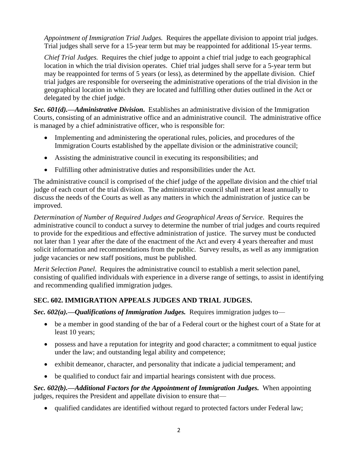*Appointment of Immigration Trial Judges.* Requires the appellate division to appoint trial judges. Trial judges shall serve for a 15-year term but may be reappointed for additional 15-year terms.

*Chief Trial Judges.* Requires the chief judge to appoint a chief trial judge to each geographical location in which the trial division operates. Chief trial judges shall serve for a 5-year term but may be reappointed for terms of 5 years (or less), as determined by the appellate division. Chief trial judges are responsible for overseeing the administrative operations of the trial division in the geographical location in which they are located and fulfilling other duties outlined in the Act or delegated by the chief judge.

*Sec. 601(d).—Administrative Division***.** Establishes an administrative division of the Immigration Courts, consisting of an administrative office and an administrative council. The administrative office is managed by a chief administrative officer, who is responsible for:

- Implementing and administering the operational rules, policies, and procedures of the Immigration Courts established by the appellate division or the administrative council;
- Assisting the administrative council in executing its responsibilities; and
- Fulfilling other administrative duties and responsibilities under the Act.

The administrative council is comprised of the chief judge of the appellate division and the chief trial judge of each court of the trial division. The administrative council shall meet at least annually to discuss the needs of the Courts as well as any matters in which the administration of justice can be improved.

*Determination of Number of Required Judges and Geographical Areas of Service*. Requires the administrative council to conduct a survey to determine the number of trial judges and courts required to provide for the expeditious and effective administration of justice. The survey must be conducted not later than 1 year after the date of the enactment of the Act and every 4 years thereafter and must solicit information and recommendations from the public. Survey results, as well as any immigration judge vacancies or new staff positions, must be published.

*Merit Selection Panel*. Requires the administrative council to establish a merit selection panel, consisting of qualified individuals with experience in a diverse range of settings, to assist in identifying and recommending qualified immigration judges.

## **SEC. 602. IMMIGRATION APPEALS JUDGES AND TRIAL JUDGES.**

*Sec. 602(a).—Qualifications of Immigration Judges.* Requires immigration judges to—

- be a member in good standing of the bar of a Federal court or the highest court of a State for at least 10 years;
- possess and have a reputation for integrity and good character; a commitment to equal justice under the law; and outstanding legal ability and competence;
- exhibit demeanor, character, and personality that indicate a judicial temperament; and
- be qualified to conduct fair and impartial hearings consistent with due process.

*Sec. 602(b).—Additional Factors for the Appointment of Immigration Judges.* When appointing judges, requires the President and appellate division to ensure that—

• qualified candidates are identified without regard to protected factors under Federal law;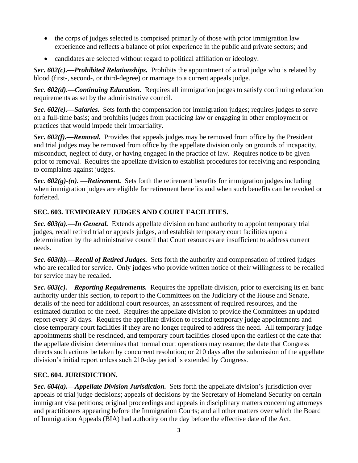- the corps of judges selected is comprised primarily of those with prior immigration law experience and reflects a balance of prior experience in the public and private sectors; and
- candidates are selected without regard to political affiliation or ideology.

*Sec. 602(c).—Prohibited Relationships.* Prohibits the appointment of a trial judge who is related by blood (first-, second-, or third-degree) or marriage to a current appeals judge.

*Sec. 602(d).—Continuing Education.* Requires all immigration judges to satisfy continuing education requirements as set by the administrative council.

*Sec. 602(e).—Salaries.* Sets forth the compensation for immigration judges; requires judges to serve on a full-time basis; and prohibits judges from practicing law or engaging in other employment or practices that would impede their impartiality.

*Sec. 602(f).—Removal.* Provides that appeals judges may be removed from office by the President and trial judges may be removed from office by the appellate division only on grounds of incapacity, misconduct, neglect of duty, or having engaged in the practice of law. Requires notice to be given prior to removal. Requires the appellate division to establish procedures for receiving and responding to complaints against judges.

*Sec. 602(g)-(n). —Retirement.* Sets forth the retirement benefits for immigration judges including when immigration judges are eligible for retirement benefits and when such benefits can be revoked or forfeited.

## **SEC. 603. TEMPORARY JUDGES AND COURT FACILITIES.**

*Sec. 603(a).—In General.* Extends appellate division en banc authority to appoint temporary trial judges, recall retired trial or appeals judges, and establish temporary court facilities upon a determination by the administrative council that Court resources are insufficient to address current needs.

*Sec. 603(b).—Recall of Retired Judges.* Sets forth the authority and compensation of retired judges who are recalled for service. Only judges who provide written notice of their willingness to be recalled for service may be recalled.

*Sec. 603(c).—Reporting Requirements.* Requires the appellate division, prior to exercising its en banc authority under this section, to report to the Committees on the Judiciary of the House and Senate, details of the need for additional court resources, an assessment of required resources, and the estimated duration of the need. Requires the appellate division to provide the Committees an updated report every 30 days. Requires the appellate division to rescind temporary judge appointments and close temporary court facilities if they are no longer required to address the need. All temporary judge appointments shall be rescinded, and temporary court facilities closed upon the earliest of the date that the appellate division determines that normal court operations may resume; the date that Congress directs such actions be taken by concurrent resolution; or 210 days after the submission of the appellate division's initial report unless such 210-day period is extended by Congress.

### **SEC. 604. JURISDICTION.**

*Sec. 604(a).—Appellate Division Jurisdiction.* Sets forth the appellate division's jurisdiction over appeals of trial judge decisions; appeals of decisions by the Secretary of Homeland Security on certain immigrant visa petitions; original proceedings and appeals in disciplinary matters concerning attorneys and practitioners appearing before the Immigration Courts; and all other matters over which the Board of Immigration Appeals (BIA) had authority on the day before the effective date of the Act.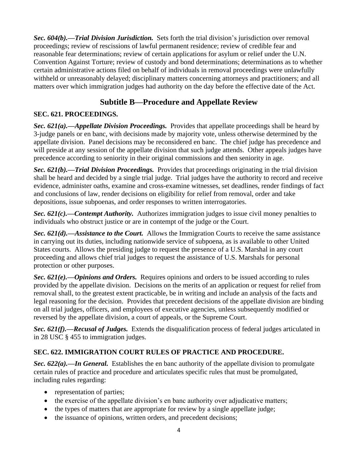*Sec. 604(b).—Trial Division Jurisdiction.* Sets forth the trial division's jurisdiction over removal proceedings; review of rescissions of lawful permanent residence; review of credible fear and reasonable fear determinations; review of certain applications for asylum or relief under the U.N. Convention Against Torture; review of custody and bond determinations; determinations as to whether certain administrative actions filed on behalf of individuals in removal proceedings were unlawfully withheld or unreasonably delayed; disciplinary matters concerning attorneys and practitioners; and all matters over which immigration judges had authority on the day before the effective date of the Act.

## **Subtitle B—Procedure and Appellate Review**

## **SEC. 621. PROCEEDINGS.**

*Sec. 621(a).—Appellate Division Proceedings.* Provides that appellate proceedings shall be heard by 3-judge panels or en banc, with decisions made by majority vote, unless otherwise determined by the appellate division. Panel decisions may be reconsidered en banc. The chief judge has precedence and will preside at any session of the appellate division that such judge attends. Other appeals judges have precedence according to seniority in their original commissions and then seniority in age.

*Sec. 621(b).—Trial Division Proceedings.* Provides that proceedings originating in the trial division shall be heard and decided by a single trial judge. Trial judges have the authority to record and receive evidence, administer oaths, examine and cross-examine witnesses, set deadlines, render findings of fact and conclusions of law, render decisions on eligibility for relief from removal, order and take depositions, issue subpoenas, and order responses to written interrogatories.

*Sec. 621(c).—Contempt Authority.* Authorizes immigration judges to issue civil money penalties to individuals who obstruct justice or are in contempt of the judge or the Court.

*Sec. 621(d).—Assistance to the Court.* Allows the Immigration Courts to receive the same assistance in carrying out its duties, including nationwide service of subpoena, as is available to other United States courts. Allows the presiding judge to request the presence of a U.S. Marshal in any court proceeding and allows chief trial judges to request the assistance of U.S. Marshals for personal protection or other purposes.

*Sec. 621(e).—Opinions and Orders.* Requires opinions and orders to be issued according to rules provided by the appellate division. Decisions on the merits of an application or request for relief from removal shall, to the greatest extent practicable, be in writing and include an analysis of the facts and legal reasoning for the decision. Provides that precedent decisions of the appellate division are binding on all trial judges, officers, and employees of executive agencies, unless subsequently modified or reversed by the appellate division, a court of appeals, or the Supreme Court.

*Sec. 621(f).—Recusal of Judges.* Extends the disqualification process of federal judges articulated in in 28 USC § 455 to immigration judges.

## **SEC. 622. IMMIGRATION COURT RULES OF PRACTICE AND PROCEDURE.**

*Sec. 622(a).—In General.* Establishes the en banc authority of the appellate division to promulgate certain rules of practice and procedure and articulates specific rules that must be promulgated, including rules regarding:

- representation of parties;
- the exercise of the appellate division's en banc authority over adjudicative matters;
- the types of matters that are appropriate for review by a single appellate judge;
- the issuance of opinions, written orders, and precedent decisions;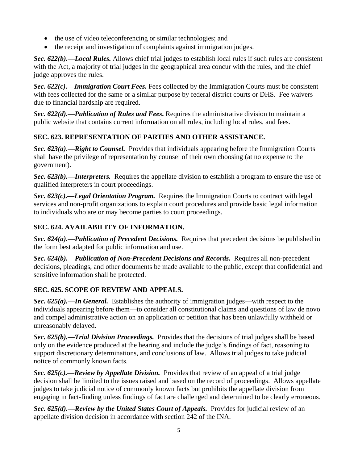- the use of video teleconferencing or similar technologies; and
- the receipt and investigation of complaints against immigration judges.

*Sec. 622(b).—Local Rules.* Allows chief trial judges to establish local rules if such rules are consistent with the Act, a majority of trial judges in the geographical area concur with the rules, and the chief judge approves the rules.

*Sec. 622(c).—Immigration Court Fees.* Fees collected by the Immigration Courts must be consistent with fees collected for the same or a similar purpose by federal district courts or DHS. Fee waivers due to financial hardship are required.

*Sec. 622(d).—Publication of Rules and Fees***.** Requires the administrative division to maintain a public website that contains current information on all rules, including local rules, and fees.

## **SEC. 623. REPRESENTATION OF PARTIES AND OTHER ASSISTANCE.**

*Sec. 623(a).—Right to Counsel.* Provides that individuals appearing before the Immigration Courts shall have the privilege of representation by counsel of their own choosing (at no expense to the government).

*Sec. 623(b).—Interpreters.* Requires the appellate division to establish a program to ensure the use of qualified interpreters in court proceedings.

*Sec. 623(c).—Legal Orientation Program.* Requires the Immigration Courts to contract with legal services and non-profit organizations to explain court procedures and provide basic legal information to individuals who are or may become parties to court proceedings.

## **SEC. 624. AVAILABILITY OF INFORMATION.**

*Sec. 624(a).—Publication of Precedent Decisions.* Requires that precedent decisions be published in the form best adapted for public information and use.

*Sec. 624(b).—Publication of Non-Precedent Decisions and Records.* Requires all non-precedent decisions, pleadings, and other documents be made available to the public, except that confidential and sensitive information shall be protected.

### **SEC. 625. SCOPE OF REVIEW AND APPEALS.**

*Sec. 625(a).—In General.* Establishes the authority of immigration judges—with respect to the individuals appearing before them—to consider all constitutional claims and questions of law de novo and compel administrative action on an application or petition that has been unlawfully withheld or unreasonably delayed.

*Sec. 625(b).—Trial Division Proceedings.* Provides that the decisions of trial judges shall be based only on the evidence produced at the hearing and include the judge's findings of fact, reasoning to support discretionary determinations, and conclusions of law. Allows trial judges to take judicial notice of commonly known facts.

*Sec. 625(c).—Review by Appellate Division.* Provides that review of an appeal of a trial judge decision shall be limited to the issues raised and based on the record of proceedings. Allows appellate judges to take judicial notice of commonly known facts but prohibits the appellate division from engaging in fact-finding unless findings of fact are challenged and determined to be clearly erroneous.

**Sec. 625(d).—Review by the United States Court of Appeals.** Provides for judicial review of an appellate division decision in accordance with section 242 of the INA.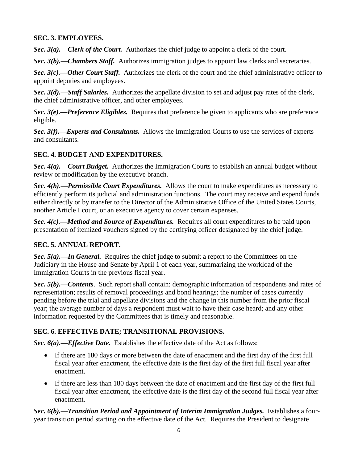#### **SEC. 3. EMPLOYEES.**

*Sec. 3(a).—Clerk of the Court.* Authorizes the chief judge to appoint a clerk of the court.

*Sec. 3(b).—Chambers Staff.* Authorizes immigration judges to appoint law clerks and secretaries.

*Sec. 3(c).—Other Court Staff.* Authorizes the clerk of the court and the chief administrative officer to appoint deputies and employees.

*Sec. 3(d).—Staff Salaries.* Authorizes the appellate division to set and adjust pay rates of the clerk, the chief administrative officer, and other employees.

*Sec. 3(e).—Preference Eligibles.* Requires that preference be given to applicants who are preference eligible.

*Sec. 3(f).—Experts and Consultants.* Allows the Immigration Courts to use the services of experts and consultants.

## **SEC. 4. BUDGET AND EXPENDITURES.**

*Sec. 4(a).—Court Budget.* Authorizes the Immigration Courts to establish an annual budget without review or modification by the executive branch.

*Sec. 4(b).—Permissible Court Expenditures.* Allows the court to make expenditures as necessary to efficiently perform its judicial and administration functions. The court may receive and expend funds either directly or by transfer to the Director of the Administrative Office of the United States Courts, another Article I court, or an executive agency to cover certain expenses.

*Sec. 4(c).—Method and Source of Expenditures.* Requires all court expenditures to be paid upon presentation of itemized vouchers signed by the certifying officer designated by the chief judge.

## **SEC. 5. ANNUAL REPORT.**

*Sec. 5(a).—In General.* Requires the chief judge to submit a report to the Committees on the Judiciary in the House and Senate by April 1 of each year, summarizing the workload of the Immigration Courts in the previous fiscal year.

*Sec. 5(b).—Contents*. Such report shall contain: demographic information of respondents and rates of representation; results of removal proceedings and bond hearings; the number of cases currently pending before the trial and appellate divisions and the change in this number from the prior fiscal year; the average number of days a respondent must wait to have their case heard; and any other information requested by the Committees that is timely and reasonable.

## **SEC. 6. EFFECTIVE DATE; TRANSITIONAL PROVISIONS.**

*Sec. 6(a).—Effective Date.* Establishes the effective date of the Act as follows:

- If there are 180 days or more between the date of enactment and the first day of the first full fiscal year after enactment, the effective date is the first day of the first full fiscal year after enactment.
- If there are less than 180 days between the date of enactment and the first day of the first full fiscal year after enactment, the effective date is the first day of the second full fiscal year after enactment.

*Sec.* 6(b).—*Transition Period and Appointment of Interim Immigration Judges.* Establishes a fouryear transition period starting on the effective date of the Act. Requires the President to designate